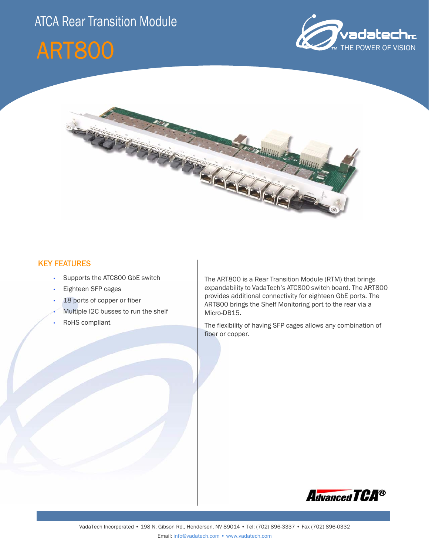# ATCA Rear Transition Module







## KEY FEATURES

- Supports the ATC800 GbE switch
- Eighteen SFP cages
- 18 ports of copper or fiber
- Multiple I2C busses to run the shelf
- RoHS compliant

The ART800 is a Rear Transition Module (RTM) that brings expandability to VadaTech's ATC800 switch board. The ART800 provides additional connectivity for eighteen GbE ports. The ART800 brings the Shelf Monitoring port to the rear via a Micro-DB15.

The flexibility of having SFP cages allows any combination of fiber or copper.

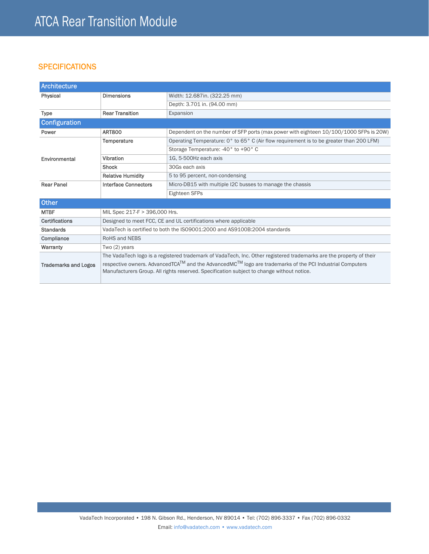# **SPECIFICATIONS**

| Architecture                |                                                                                                                                                                                                                                |                                                                                         |
|-----------------------------|--------------------------------------------------------------------------------------------------------------------------------------------------------------------------------------------------------------------------------|-----------------------------------------------------------------------------------------|
| Physical                    | <b>Dimensions</b>                                                                                                                                                                                                              | Width: 12.687in. (322.25 mm)                                                            |
|                             |                                                                                                                                                                                                                                | Depth: 3.701 in. (94.00 mm)                                                             |
| <b>Type</b>                 | <b>Rear Transition</b>                                                                                                                                                                                                         | Expansion                                                                               |
| <b>Configuration</b>        |                                                                                                                                                                                                                                |                                                                                         |
| Power                       | <b>ART800</b>                                                                                                                                                                                                                  | Dependent on the number of SFP ports (max power with eighteen 10/100/1000 SFPs is 20W)  |
|                             | Temperature                                                                                                                                                                                                                    | Operating Temperature: 0° to 65° C (Air flow requirement is to be greater than 200 LFM) |
|                             |                                                                                                                                                                                                                                | Storage Temperature: -40° to +90° C                                                     |
| Environmental               | Vibration                                                                                                                                                                                                                      | 1G, 5-500Hz each axis                                                                   |
|                             | <b>Shock</b>                                                                                                                                                                                                                   | 30Gs each axis                                                                          |
|                             | <b>Relative Humidity</b>                                                                                                                                                                                                       | 5 to 95 percent, non-condensing                                                         |
| <b>Rear Panel</b>           | <b>Interface Connectors</b>                                                                                                                                                                                                    | Micro-DB15 with multiple I2C busses to manage the chassis                               |
|                             |                                                                                                                                                                                                                                | Eighteen SFPs                                                                           |
| Other                       |                                                                                                                                                                                                                                |                                                                                         |
| <b>MTBF</b>                 | MIL Spec 217-F > 396,000 Hrs.                                                                                                                                                                                                  |                                                                                         |
| Certifications              | Designed to meet FCC, CE and UL certifications where applicable                                                                                                                                                                |                                                                                         |
| <b>Standards</b>            | VadaTech is certified to both the ISO9001:2000 and AS9100B:2004 standards                                                                                                                                                      |                                                                                         |
| Compliance                  | <b>RoHS and NEBS</b>                                                                                                                                                                                                           |                                                                                         |
| Warranty                    | Two $(2)$ years                                                                                                                                                                                                                |                                                                                         |
| <b>Trademarks and Logos</b> | The VadaTech logo is a registered trademark of VadaTech, Inc. Other registered trademarks are the property of their<br>respective owners. AdvancedTCA™ and the AdvancedMC™ logo are trademarks of the PCI Industrial Computers |                                                                                         |
|                             | Manufacturers Group. All rights reserved. Specification subject to change without notice.                                                                                                                                      |                                                                                         |